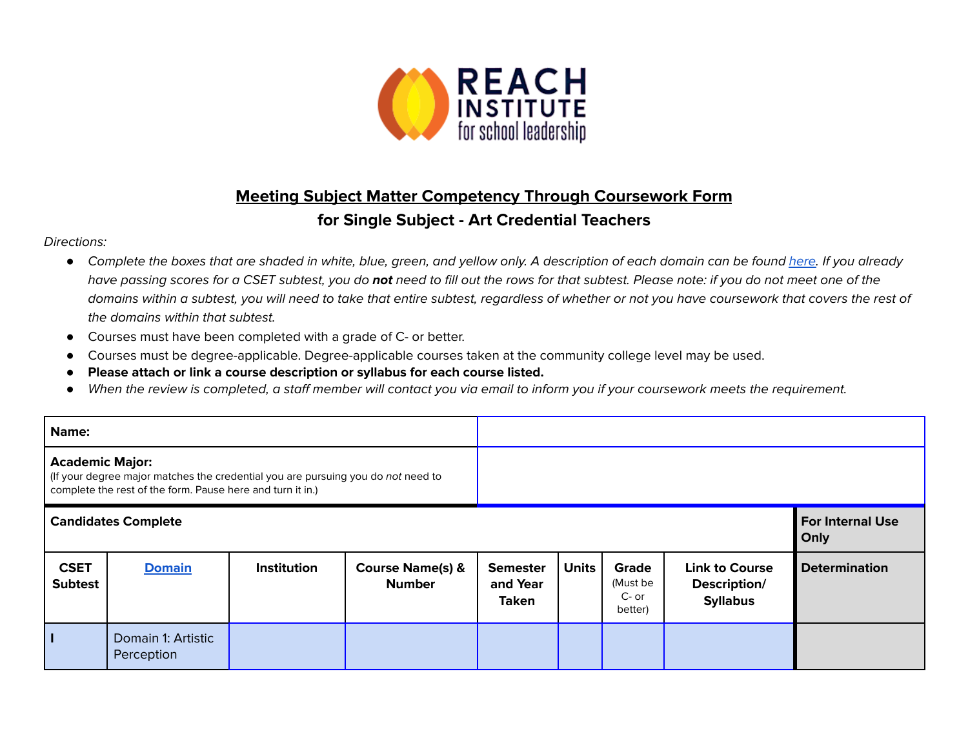

## **Meeting Subject Matter Competency Through Coursework Form**

## **for Single Subject - Art Credential Teachers**

## Directions:

- Complete the boxes that are shaded in white, blue, green, and yellow only. A description of each domain can be found [here.](https://www.ctc.ca.gov/docs/default-source/educator-prep/files/domains-of-subject-matter-requirements.pdf?sfvrsn=dcd525b1_2) If you already have passing scores for a CSET subtest, you do **not** need to fill out the rows for that subtest. Please note: if you do not meet one of the domains within a subtest, you will need to take that entire subtest, regardless of whether or not you have coursework that covers the rest of the domains within that subtest.
- *●* Courses must have been completed with a grade of C- or better.
- Courses must be degree-applicable. Degree-applicable courses taken at the community college level may be used.
- *●* **Please attach or link a course description or syllabus for each course listed.**
- *●* When the review is completed, a staff member will contact you via email to inform you if your coursework meets the requirement.

| Name:                                                                                                                                                                   |                                  |             |                                              |                                             |              |                                                |                                                          |                                 |
|-------------------------------------------------------------------------------------------------------------------------------------------------------------------------|----------------------------------|-------------|----------------------------------------------|---------------------------------------------|--------------|------------------------------------------------|----------------------------------------------------------|---------------------------------|
| <b>Academic Major:</b><br>If your degree major matches the credential you are pursuing you do not need to<br>complete the rest of the form. Pause here and turn it in.) |                                  |             |                                              |                                             |              |                                                |                                                          |                                 |
|                                                                                                                                                                         | <b>Candidates Complete</b>       |             |                                              |                                             |              |                                                |                                                          | <b>For Internal Use</b><br>Only |
| <b>CSET</b><br><b>Subtest</b>                                                                                                                                           | <b>Domain</b>                    | Institution | <b>Course Name(s) &amp;</b><br><b>Number</b> | <b>Semester</b><br>and Year<br><b>Taken</b> | <b>Units</b> | <b>Grade</b><br>(Must be<br>$C-$ or<br>better) | <b>Link to Course</b><br>Description/<br><b>Syllabus</b> | <b>Determination</b>            |
| Π                                                                                                                                                                       | Domain 1: Artistic<br>Perception |             |                                              |                                             |              |                                                |                                                          |                                 |